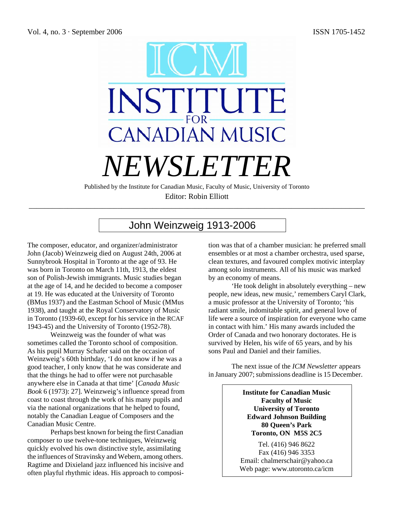

Editor: Robin Elliott \_\_\_\_\_\_\_\_\_\_\_\_\_\_\_\_\_\_\_\_\_\_\_\_\_\_\_\_\_\_\_\_\_\_\_\_\_\_\_\_\_\_\_\_\_\_\_\_\_\_\_\_\_\_\_\_\_\_\_\_\_\_\_\_\_\_\_\_\_\_\_\_\_\_\_\_\_\_\_\_\_\_\_\_\_\_\_

# John Weinzweig 1913-2006

The composer, educator, and organizer/administrator John (Jacob) Weinzweig died on August 24th, 2006 at Sunnybrook Hospital in Toronto at the age of 93. He was born in Toronto on March 11th, 1913, the eldest son of Polish-Jewish immigrants. Music studies began at the age of 14, and he decided to become a composer at 19. He was educated at the University of Toronto (BMus 1937) and the Eastman School of Music (MMus 1938), and taught at the Royal Conservatory of Music in Toronto (1939-60, except for his service in the RCAF 1943-45) and the University of Toronto (1952-78).

Weinzweig was the founder of what was sometimes called the Toronto school of composition. As his pupil Murray Schafer said on the occasion of Weinzweig's 60th birthday, 'I do not know if he was a good teacher, I only know that he was considerate and that the things he had to offer were not purchasable anywhere else in Canada at that time' [*Canada Music Book* 6 (1973): 27]. Weinzweig's influence spread from coast to coast through the work of his many pupils and via the national organizations that he helped to found, notably the Canadian League of Composers and the Canadian Music Centre.

 Perhaps best known for being the first Canadian composer to use twelve-tone techniques, Weinzweig quickly evolved his own distinctive style, assimilating the influences of Stravinsky and Webern, among others. Ragtime and Dixieland jazz influenced his incisive and often playful rhythmic ideas. His approach to composition was that of a chamber musician: he preferred small ensembles or at most a chamber orchestra, used sparse, clean textures, and favoured complex motivic interplay among solo instruments. All of his music was marked by an economy of means.

 'He took delight in absolutely everything – new people, new ideas, new music,' remembers Caryl Clark, a music professor at the University of Toronto; 'his radiant smile, indomitable spirit, and general love of life were a source of inspiration for everyone who came in contact with him.' His many awards included the Order of Canada and two honorary doctorates. He is survived by Helen, his wife of 65 years, and by his sons Paul and Daniel and their families.

The next issue of the *ICM Newsletter* appears in January 2007; submissions deadline is 15 December.

> **Institute for Canadian Music Faculty of Music University of Toronto Edward Johnson Building 80 Queen's Park Toronto, ON M5S 2C5**

Tel. (416) 946 8622 Fax (416) 946 3353 Email: chalmerschair@yahoo.ca Web page: www.utoronto.ca/icm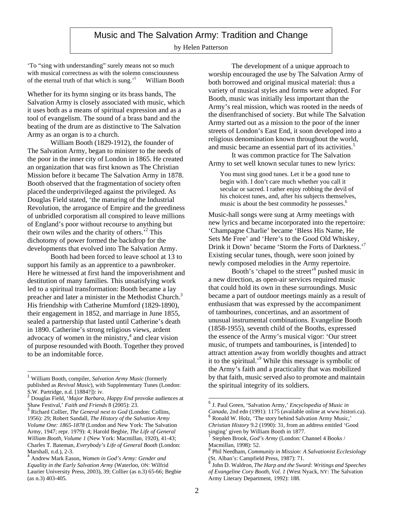# Music and The Salvation Army: Tradition and Change

#### by Helen Patterson

'To "sing with understanding" surely means not so much with musical correctness as with the solemn consciousness of the eternal truth of that which is sung.'1 William Booth

Whether for its hymn singing or its brass bands, The Salvation Army is closely associated with music, which it uses both as a means of spiritual expression and as a tool of evangelism. The sound of a brass band and the beating of the drum are as distinctive to The Salvation Army as an organ is to a church.

William Booth (1829-1912), the founder of The Salvation Army, began to minister to the needs of the poor in the inner city of London in 1865. He created an organization that was first known as The Christian Mission before it became The Salvation Army in 1878. Booth observed that the fragmentation of society often placed the underprivileged against the privileged. As Douglas Field stated, 'the maturing of the Industrial Revolution, the arrogance of Empire and the greediness of unbridled corporatism all conspired to leave millions of England's poor without recourse to anything but their own wiles and the charity of others.<sup>52</sup> This dichotomy of power formed the backdrop for the developments that evolved into The Salvation Army.

Booth had been forced to leave school at 13 to support his family as an apprentice to a pawnbroker. Here he witnessed at first hand the impoverishment and destitution of many families. This unsatisfying work led to a spiritual transformation: Booth became a lay preacher and later a minister in the Methodist Church.<sup>3</sup> His friendship with Catherine Mumford (1829-1890), their engagement in 1852, and marriage in June 1855, sealed a partnership that lasted until Catherine's death in 1890. Catherine's strong religious views, ardent advocacy of women in the ministry, 4 and clear vision of purpose resounded with Booth. Together they proved to be an indomitable force.

 $\overline{\phantom{a}}$ 

The development of a unique approach to worship encouraged the use by The Salvation Army of both borrowed and original musical material: thus a variety of musical styles and forms were adopted. For Booth, music was initially less important than the Army's real mission, which was rooted in the needs of the disenfranchised of society. But while The Salvation Army started out as a mission to the poor of the inner streets of London's East End, it soon developed into a religious denomination known throughout the world, and music became an essential part of its activities.<sup>5</sup>

It was common practice for The Salvation Army to set well known secular tunes to new lyrics:

You must sing good tunes. Let it be a good tune to begin with. I don't care much whether you call it secular or sacred. I rather enjoy robbing the devil of his choicest tunes, and, after his subjects themselves, music is about the best commodity he possesses.<sup>6</sup>

Music-hall songs were sung at Army meetings with new lyrics and became incorporated into the repertoire: 'Champagne Charlie' became 'Bless His Name, He Sets Me Free' and 'Here's to the Good Old Whiskey, Drink it Down' became 'Storm the Forts of Darkness.'<sup>7</sup> Existing secular tunes, though, were soon joined by newly composed melodies in the Army repertoire.

Booth's 'chapel to the street'<sup>8</sup> pushed music in a new direction, as open-air services required music that could hold its own in these surroundings. Music became a part of outdoor meetings mainly as a result of enthusiasm that was expressed by the accompaniment of tambourines, concertinas, and an assortment of unusual instrumental combinations. Evangeline Booth (1858-1955), seventh child of the Booths, expressed the essence of the Army's musical vigor: 'Our street music, of trumpets and tambourines, is [intended] to attract attention away from worldly thoughts and attract it to the spiritual.<sup>9</sup> While this message is symbolic of the Army's faith and a practicality that was mobilized by that faith, music served also to promote and maintain the spiritual integrity of its soldiers.

<sup>1</sup> William Booth, compiler, *Salvation Army Music* (formerly published as *Revival Music*), with Supplementary Tunes (London: S.W. Partridge, n.d. [1884?]): iv. <sup>2</sup> Douglas Field, '*Major Barbara*, *Happy End* provoke audiences at

Shaw Festival,' *Faith and Friends* 8 (2005): 23. <sup>3</sup> Richard Collier, *The General next to God* (London: Collins,

<sup>1956): 29;</sup> Robert Sandall, *The History of the Salvation Army Volume One: 1865-1878* (London and New York: The Salvation Army, 1947; repr. 1979): 4; Harold Begbie, *The Life of General William Booth, Volume 1* (New York: Macmillan, 1920), 41-43; Charles T. Bateman, *Everybody's Life of General Booth* (London:

Marshall, n.d.), 2-3. <sup>4</sup> Andrew Mark Eason, *Women in God's Army: Gender and Equality in the Early Salvation Army* (Waterloo, ON: Wilfrid Laurier University Press, 2003), 39; Collier (as n.3) 65-66; Begbie (as n.3) 403-405.

 $\overline{a}$ <sup>5</sup> J. Paul Green, 'Salvation Army,' *Encyclopedia of Music in Canada*, 2nd edn (1991): 1175 (available online at www.histori.ca). <sup>6</sup> Ronald W. Holz, 'The story behind Salvation Army Music,' *Christian History* 9.2 (1990): 31, from an address entitled 'Good

Stephen Brook, God's Army (London: Channel 4 Books /

Macmillan, 1998): 52. <sup>8</sup> Phil Needham, *Community in Mission: <sup>A</sup> Salvationist Ecclesiology* (St. Alban's: Campfield Press, 1987): 71. <sup>9</sup> John D. Waldron, *The Harp and the Sword: Writings and Speeches*

*of Evangeline Cory Booth, Vol. 1* (West Nyack, NY: The Salvation Army Literary Department, 1992): 188.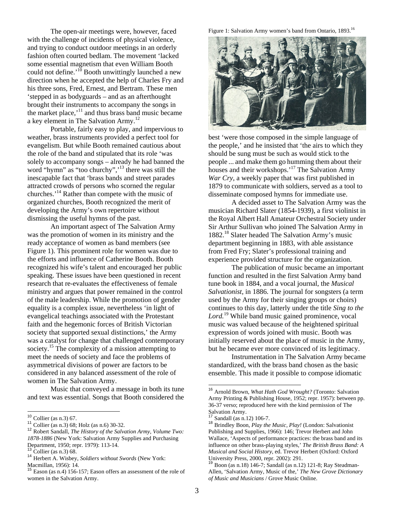The open-air meetings were, however, faced with the challenge of incidents of physical violence, and trying to conduct outdoor meetings in an orderly fashion often courted bedlam. The movement 'lacked some essential magnetism that even William Booth could not define.<sup> $10$ </sup> Booth unwittingly launched a new direction when he accepted the help of Charles Fry and his three sons, Fred, Ernest, and Bertram. These men 'stepped in as bodyguards – and as an afterthought brought their instruments to accompany the songs in the market place, $\frac{1}{11}$  and thus brass band music became a key element in The Salvation Army.<sup>12</sup>

Portable, fairly easy to play, and impervious to weather, brass instruments provided a perfect tool for evangelism. But while Booth remained cautious about the role of the band and stipulated that its role 'was solely to accompany songs – already he had banned the word "hymn" as "too churchy",<sup>13</sup> there was still the inescapable fact that 'brass bands and street parades attracted crowds of persons who scorned the regular churches.'14 Rather than compete with the music of organized churches, Booth recognized the merit of developing the Army's own repertoire without dismissing the useful hymns of the past.

An important aspect of The Salvation Army was the promotion of women in its ministry and the ready acceptance of women as band members (see Figure 1). This prominent role for women was due to the efforts and influence of Catherine Booth. Booth recognized his wife's talent and encouraged her public speaking. These issues have been questioned in recent research that re-evaluates the effectiveness of female ministry and argues that power remained in the control of the male leadership. While the promotion of gender equality is a complex issue, nevertheless 'in light of evangelical teachings associated with the Protestant faith and the hegemonic forces of British Victorian society that supported sexual distinctions,' the Army was a catalyst for change that challenged contemporary society.<sup>15</sup> The complexity of a mission attempting to meet the needs of society and face the problems of asymmetrical divisions of power are factors to be considered in any balanced assessment of the role of women in The Salvation Army.

Music that conveyed a message in both its tune and text was essential. Songs that Booth considered the Figure 1: Salvation Army women's band from Ontario, 1893.<sup>16</sup>



best 'were those composed in the simple language of the people,' and he insisted that 'the airs to which they should be sung must be such as would stick to the people ... and make them go humming them about their houses and their workshops.<sup>'17</sup> The Salvation Army *War Cry*, a weekly paper that was first published in 1879 to communicate with soldiers, served as a tool to disseminate composed hymns for immediate use.

A decided asset to The Salvation Army was the musician Richard Slater (1854-1939), a first violinist in the Royal Albert Hall Amateur Orchestral Society under Sir Arthur Sullivan who joined The Salvation Army in 1882. 18 Slater headed The Salvation Army's music department beginning in 1883, with able assistance from Fred Fry; Slater's professional training and experience provided structure for the organization.

The publication of music became an important function and resulted in the first Salvation Army band tune book in 1884, and a vocal journal, the *Musical Salvationist*, in 1886. The journal for songsters (a term used by the Army for their singing groups or choirs) continues to this day, latterly under the title *Sing to the Lord.*19 While band music gained prominence, vocal music was valued because of the heightened spiritual expression of words joined with music. Booth was initially reserved about the place of music in the Army, but he became ever more convinced of its legitimacy.

Instrumentation in The Salvation Army became standardized, with the brass band chosen as the basic ensemble. This made it possible to compose idiomatic

 $\overline{a}$ 

 $10$  Collier (as n.3) 67.

<sup>&</sup>lt;sup>11</sup> Collier (as n.3) 68; Holz (as n.6) 30-32.<br><sup>12</sup> Robert Sandall, *The History of the Salvation Army, Volume Two: 1878-1886* (New York: Salvation Army Supplies and Purchasing

<sup>&</sup>lt;sup>13</sup> Collier (as n.3) 68.<br><sup>14</sup> Herbert A. Wisbey, *Soldiers without Swords* (New York: Macmillan, 1956): 14.

 $\frac{15}{15}$  Eason (as n.4) 156-157; Eason offers an assessment of the role of women in the Salvation Army.

<sup>16</sup> Arnold Brown, *What Hath God Wrought?* (Toronto: Salvation Army Printing & Publishing House, 1952; repr. 1957): between pp. 36-37 verso; reproduced here with the kind permission of The

Salvation Army.<br><sup>17</sup> Sandall (as n.12) 106-7.<br><sup>18</sup> Brindley Boon, *Play the Music, Play!* (London: Salvationist Publishing and Supplies, 1966): 146; Trevor Herbert and John Wallace, 'Aspects of performance practices: the brass band and its influence on other brass-playing styles,' *The British Brass Band: A Musical and Social History*, ed. Trevor Herbert (Oxford: Oxford University Press, 2000, repr. 2002): 291.<br><sup>19</sup> Boon (as n.18) 146-7; Sandall (as n.12) 121-8; Ray Steadman-

Allen, 'Salvation Army, Music of the,' *The New Grove Dictionary of Music and Musicians* / Grove Music Online.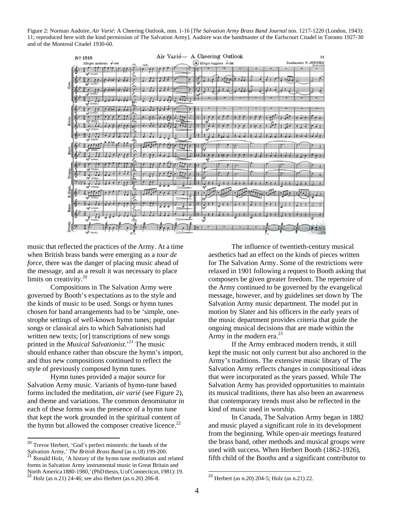Figure 2: Norman Audoire, *Air Varié*: A Cheering Outlook, mm. 1-16 [*The Salvation Army Brass Band Journal* nos. 1217-1220 (London, 1943): 11; reproduced here with the kind permission of The Salvation Army]. Audoire was the bandmaster of the Earlscourt Citadel in Toronto 1927-30 and of the Montreal Citadel 1930-60.



music that reflected the practices of the Army. At a time when British brass bands were emerging as a *tour de force*, there was the danger of placing music ahead of the message, and as a result it was necessary to place limits on creativity.<sup>20</sup>

Compositions in The Salvation Army were governed by Booth's expectations as to the style and the kinds of music to be used. Songs or hymn tunes chosen for band arrangements had to be 'simple, onestrophe settings of well-known hymn tunes; popular songs or classical airs to which Salvationists had written new texts; [or] transcriptions of new songs printed in the *Musical Salvationist*.'21 The music should enhance rather than obscure the hymn's import, and thus new compositions continued to reflect the style of previously composed hymn tunes.

Hymn tunes provided a major source for Salvation Army music. Variants of hymn-tune based forms included the meditation, *air varié* (see Figure 2), and theme and variations. The common denominator in each of these forms was the presence of a hymn tune that kept the work grounded in the spiritual content of the hymn but allowed the composer creative licence.<sup>22</sup>

 $\overline{a}$ 

The influence of twentieth-century musical aesthetics had an effect on the kinds of pieces written for The Salvation Army. Some of the restrictions were relaxed in 1901 following a request to Booth asking that composers be given greater freedom. The repertoire of the Army continued to be governed by the evangelical message, however, and by guidelines set down by The Salvation Army music department. The model put in motion by Slater and his officers in the early years of the music department provides criteria that guide the ongoing musical decisions that are made within the Army in the modern era.<sup>23</sup>

If the Army embraced modern trends, it still kept the music not only current but also anchored in the Army's traditions. The extensive music library of The Salvation Army reflects changes in compositional ideas that were incorporated as the years passed. While The Salvation Army has provided opportunities to maintain its musical traditions, there has also been an awareness that contemporary trends must also be reflected in the kind of music used in worship.

In Canada, The Salvation Army began in 1882 and music played a significant role in its development from the beginning. While open-air meetings featured the brass band, other methods and musical groups were used with success. When Herbert Booth (1862-1926), fifth child of the Booths and a significant contributor to

 $\overline{a}$ 

<sup>&</sup>lt;sup>20</sup> Trevor Herbert, 'God's perfect minstrels: the bands of the Salvation Army,' *The British Brass Band* (as n.18) 199-200.<br><sup>21</sup> Ronald Holz, 'A history of the hymn tune meditation and related forms in Salvation Army instrumental music in Great Britain and North America 1880-1980,'(PhDthesis, UofConnecticut, 1981): 19.<br><sup>22</sup> Holz (as n.21) 24-46; see also Herbert (as n.20) 206-8.

<sup>&</sup>lt;sup>23</sup> Herbert (as n.20) 204-5; Holz (as n.21) 22.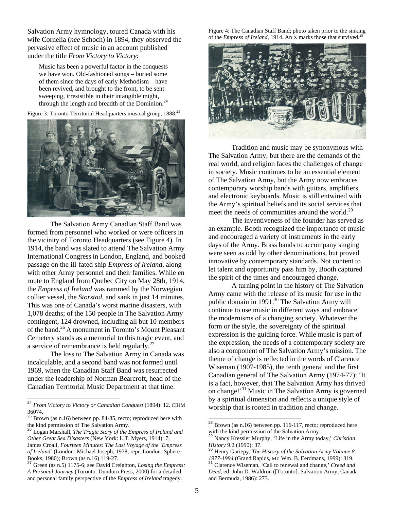Salvation Army hymnology, toured Canada with his wife Cornelia (*née* Schoch) in 1894, they observed the pervasive effect of music in an account published under the title *From Victory to Victory*:

Music has been a powerful factor in the conquests we have won. Old-fashioned songs – buried some of them since the days of early Methodism – have been revived, and brought to the front, to be sent sweeping, irresistible in their intangible might, through the length and breadth of the Dominion.<sup>24</sup>

Figure 3: Toronto Territorial Headquarters musical group, 1888.<sup>25</sup>



The Salvation Army Canadian Staff Band was formed from personnel who worked or were officers in the vicinity of Toronto Headquarters (see Figure 4). In 1914, the band was slated to attend The Salvation Army International Congress in London, England, and booked passage on the ill-fated ship *Empress of Ireland*, along with other Army personnel and their families. While en route to England from Quebec City on May 28th, 1914, the *Empress of Ireland* was rammed by the Norwegian collier vessel, the *Storstad*, and sank in just 14 minutes. This was one of Canada's worst marine disasters, with 1,078 deaths; of the 150 people in The Salvation Army contingent, 124 drowned, including all but 10 members of the band.26 A monument in Toronto's Mount Pleasant Cemetery stands as a memorial to this tragic event, and a service of remembrance is held regularly.<sup>27</sup>

The loss to The Salvation Army in Canada was incalculable, and a second band was not formed until 1969, when the Canadian Staff Band was resurrected under the leadership of Norman Bearcroft, head of the Canadian Territorial Music Department at that time.

 $\overline{a}$ 

Figure 4: The Canadian Staff Band; photo taken prior to the sinking of the *Empress of Ireland*, 1914. An X marks those that survived.<sup>2</sup>



Tradition and music may be synonymous with The Salvation Army, but there are the demands of the real world, and religion faces the challenges of change in society. Music continues to be an essential element of The Salvation Army, but the Army now embraces contemporary worship bands with guitars, amplifiers, and electronic keyboards. Music is still entwined with the Army's spiritual beliefs and its social services that meet the needs of communities around the world.<sup>29</sup>

The inventiveness of the founder has served as an example. Booth recognized the importance of music and encouraged a variety of instruments in the early days of the Army. Brass bands to accompany singing were seen as odd by other denominations, but proved innovative by contemporary standards. Not content to let talent and opportunity pass him by, Booth captured the spirit of the times and encouraged change.

A turning point in the history of The Salvation Army came with the release of its music for use in the public domain in 1991. 30 The Salvation Army will continue to use music in different ways and embrace the modernisms of a changing society. Whatever the form or the style, the sovereignty of the spiritual expression is the guiding force. While music is part of the expression, the needs of a contemporary society are also a component of The Salvation Army's mission. The theme of change is reflected in the words of Clarence Wiseman (1907-1985), the tenth general and the first Canadian general of The Salvation Army (1974-77): 'It is a fact, however, that The Salvation Army has thrived on change!'<sup>31</sup> Music in The Salvation Army is governed by a spiritual dimension and reflects a unique style of worship that is rooted in tradition and change.

 $\overline{a}$ 

<sup>24</sup> *From Victory to Victory or Canadian Conquest* (1894): 12. CIHM 36074.

 $^{25}$  Brown (as n.16) between pp. 84-85, recto; reproduced here with the kind permission of The Salvation Army. <sup>26</sup> Logan Marshall, *The Tragic Story of the Empress of Ireland and* 

*Other Great Sea Disasters* (New York: L.T. Myers, 1914): 7; James Croall, *Fourteen Minutes: The Last Voyage of the 'Empress of Ireland'* (London: Michael Joseph, 1978; repr. London: Sphere

Books, 1980); Brown (as n.16) 119-27. <sup>27</sup> Green (as n.5) 1175-6; see David Creighton, *Losing the Empress: A Personal Journey* (Toronto: Dundurn Press, 2000) for a detailed and personal family perspective of the *Empress of Ireland* tragedy.

 $^{28}$  Brown (as n.16) between pp. 116-117, recto; reproduced here with the kind permission of the Salvation Army.<br><sup>29</sup> Nancy Kressler Murphy, 'Life in the Army today,' *Christian* 

*History* 9.2 (1990): 37.<br><sup>30</sup> Henry Gariepy, *The History of the Salvation Army Volume 8:* 

*<sup>1977-1994</sup>* (Grand Rapids, MI: Wm. B. Eerdmans, 1999): 319. <sup>31</sup> Clarence Wiseman, 'Call to renewal and change,' *Creed and*

*Deed*, ed. John D. Waldron ([Toronto]: Salvation Army, Canada and Bermuda, 1986): 273.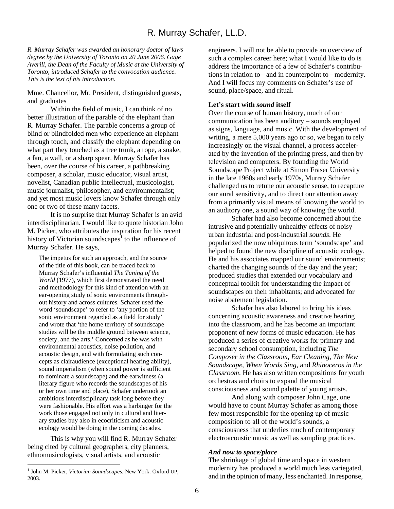# R. Murray Schafer, LL.D.

*R. Murray Schafer was awarded an honorary doctor of laws degree by the University of Toronto on 20 June 2006. Gage Averill, the Dean of the Faculty of Music at the University of Toronto, introduced Schafer to the convocation audience. This is the text of his introduction.* 

Mme. Chancellor, Mr. President, distinguished guests, and graduates

Within the field of music, I can think of no better illustration of the parable of the elephant than R. Murray Schafer. The parable concerns a group of blind or blindfolded men who experience an elephant through touch, and classify the elephant depending on what part they touched as a tree trunk, a rope, a snake, a fan, a wall, or a sharp spear. Murray Schafer has been, over the course of his career, a pathbreaking composer, a scholar, music educator, visual artist, novelist, Canadian public intellectual, musicologist, music journalist, philosopher, and environmentalist; and yet most music lovers know Schafer through only one or two of these many facets.

It is no surprise that Murray Schafer is an avid interdisciplinarian. I would like to quote historian John M. Picker, who attributes the inspiration for his recent history of Victorian soundscapes $\overline{1}$  to the influence of Murray Schafer. He says,

The impetus for such an approach, and the source of the title of this book, can be traced back to Murray Schafer's influential *The Tuning of the World* (1977), which first demonstrated the need and methodology for this kind of attention with an ear-opening study of sonic environments throughout history and across cultures. Schafer used the word 'soundscape' to refer to 'any portion of the sonic environment regarded as a field for study' and wrote that 'the home territory of soundscape studies will be the middle ground between science, society, and the arts.' Concerned as he was with environmental acoustics, noise pollution, and acoustic design, and with formulating such concepts as clairaudience (exceptional hearing ability), sound imperialism (when sound power is sufficient to dominate a soundscape) and the earwitness (a literary figure who records the soundscapes of his or her own time and place), Schafer undertook an ambitious interdisciplinary task long before they were fashionable. His effort was a harbinger for the work those engaged not only in cultural and literary studies buy also in ecocriticism and acoustic ecology would be doing in the coming decades.

This is why you will find R. Murray Schafer being cited by cultural geographers, city planners, ethnomusicologists, visual artists, and acoustic

 $\overline{a}$ 

engineers. I will not be able to provide an overview of such a complex career here; what I would like to do is address the importance of a few of Schafer's contributions in relation to – and in counterpoint to – modernity. And I will focus my comments on Schafer's use of sound, place/space, and ritual.

#### **Let's start with** *sound* **itself**

Over the course of human history, much of our communication has been auditory – sounds employed as signs, language, and music. With the development of writing, a mere 5,000 years ago or so, we began to rely increasingly on the visual channel, a process accelerated by the invention of the printing press, and then by television and computers. By founding the World Soundscape Project while at Simon Fraser University in the late 1960s and early 1970s, Murray Schafer challenged us to retune our acoustic sense, to recapture our aural sensitivity, and to direct our attention away from a primarily visual means of knowing the world to an auditory one, a sound way of knowing the world.

Schafer had also become concerned about the intrusive and potentially unhealthy effects of noisy urban industrial and post-industrial *sounds*. He popularized the now ubiquitous term 'soundscape' and helped to found the new discipline of acoustic ecology. He and his associates mapped our sound environments; charted the changing sounds of the day and the year; produced studies that extended our vocabulary and conceptual toolkit for understanding the impact of soundscapes on their inhabitants; and advocated for noise abatement legislation.

Schafer has also labored to bring his ideas concerning acoustic awareness and creative hearing into the classroom, and he has become an important proponent of new forms of music education. He has produced a series of creative works for primary and secondary school consumption, including *The Composer in the Classroom*, *Ear Cleaning*, *The New Soundscape*, *When Words Sing*, and *Rhinoceros in the Classroom*. He has also written compositions for youth orchestras and choirs to expand the musical consciousness and sound palette of young artists.

And along with composer John Cage, one would have to count Murray Schafer as among those few most responsible for the opening up of music composition to all of the world's sounds, a consciousness that underlies much of contemporary electroacoustic music as well as sampling practices.

#### *And now to space/place*

The shrinkage of global time and space in western modernity has produced a world much less variegated, and in the opinion of many, less enchanted. In response,

<sup>1</sup> John M. Picker, *Victorian Soundscapes.* New York: Oxford UP, 2003.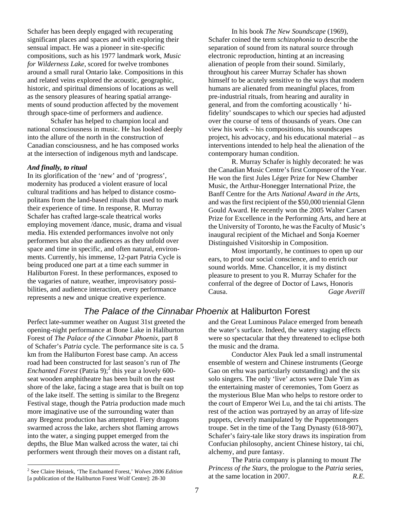Schafer has been deeply engaged with recuperating significant places and spaces and with exploring their sensual impact. He was a pioneer in site-specific compositions, such as his 1977 landmark work, *Music for Wilderness Lake*, scored for twelve trombones around a small rural Ontario lake. Compositions in this and related veins explored the acoustic, geographic, historic, and spiritual dimensions of locations as well as the sensory pleasures of hearing spatial arrangements of sound production affected by the movement through space-time of performers and audience.

Schafer has helped to champion local and national consciousness in music. He has looked deeply into the allure of the north in the construction of Canadian consciousness, and he has composed works at the intersection of indigenous myth and landscape.

#### *And finally, to ritual*

In its glorification of the 'new' and of 'progress', modernity has produced a violent erasure of local cultural traditions and has helped to distance cosmopolitans from the land-based rituals that used to mark their experience of time. In response, R. Murray Schafer has crafted large-scale theatrical works employing movement /dance, music, drama and visual media. His extended performances involve not only performers but also the audiences as they unfold over space and time in specific, and often natural, environments. Currently, his immense, 12-part Patria Cycle is being produced one part at a time each summer in Haliburton Forest. In these performances, exposed to the vagaries of nature, weather, improvisatory possibilities, and audience interaction, every performance represents a new and unique creative experience.

In his book *The New Soundscape* (1969), Schafer coined the term *schizophonia* to describe the separation of sound from its natural source through electronic reproduction, hinting at an increasing alienation of people from their sound. Similarly, throughout his career Murray Schafer has shown himself to be acutely sensitive to the ways that modern humans are alienated from meaningful places, from pre-industrial rituals, from hearing and aurality in general, and from the comforting acoustically ' hifidelity' soundscapes to which our species had adjusted over the course of tens of thousands of years. One can view his work – his compositions, his soundscapes project, his advocacy, and his educational material – as interventions intended to help heal the alienation of the contemporary human condition.

R. Murray Schafer is highly decorated: he was the Canadian Music Centre's first Composer of the Year. He won the first Jules Léger Prize for New Chamber Music, the Arthur-Honegger International Prize, the Banff Centre for the Arts *National Award in the Arts*, and wasthe first recipient of the \$50,000 triennial Glenn Gould Award. He recently won the 2005 Walter Carsen Prize for Excellence in the Performing Arts, and here at the University of Toronto, he wasthe Faculty of Music's inaugural recipient of the Michael and Sonja Koerner Distinguished Visitorship in Composition.

Most importantly, he continues to open up our ears, to prod our social conscience, and to enrich our sound worlds. Mme. Chancellor, it is my distinct pleasure to present to you R. Murray Schafer for the conferral of the degree of Doctor of Laws, Honoris Causa. *Gage Averill*

# *The Palace of the Cinnabar Phoenix* at Haliburton Forest

Perfect late-summer weather on August 31st greeted the opening-night performance at Bone Lake in Haliburton Forest of *The Palace of the Cinnabar Phoenix*, part 8 of Schafer's *Patria* cycle. The performance site is ca. 5 km from the Haliburton Forest base camp. An access road had been constructed for last season's run of *The Enchanted Forest* (Patria 9);<sup>2</sup> this year a lovely 600seat wooden amphitheatre has been built on the east shore of the lake, facing a stage area that is built on top of the lake itself. The setting is similar to the Bregenz Festival stage, though the Patria production made much more imaginative use of the surrounding water than any Bregenz production has attempted. Fiery dragons swarmed across the lake, archers shot flaming arrows into the water, a singing puppet emerged from the depths, the Blue Man walked across the water, tai chi performers went through their moves on a distant raft,

 $\overline{a}$ 

and the Great Luminous Palace emerged from beneath the water's surface. Indeed, the watery staging effects were so spectacular that they threatened to eclipse both the music and the drama.

Conductor Alex Pauk led a small instrumental ensemble of western and Chinese instruments (George Gao on erhu was particularly outstanding) and the six solo singers. The only 'live' actors were Dale Yim as the entertaining master of ceremonies, Tom Goerz as the mysterious Blue Man who helps to restore order to the court of Emperor Wei Lu, and the tai chi artists. The rest of the action was portrayed by an array of life-size puppets, cleverly manipulated by the Puppetmongers troupe. Set in the time of the Tang Dynasty (618-907), Schafer's fairy-tale like story draws its inspiration from Confucian philosophy, ancient Chinese history, tai chi, alchemy, and pure fantasy.

The Patria company is planning to mount *The Princess of the Stars*, the prologue to the *Patria* series, at the same location in 2007. *R.E.* 

<sup>2</sup> See Claire Heistek, 'The Enchanted Forest,' *Wolves 2006 Edition* [a publication of the Haliburton Forest Wolf Centre]: 28-30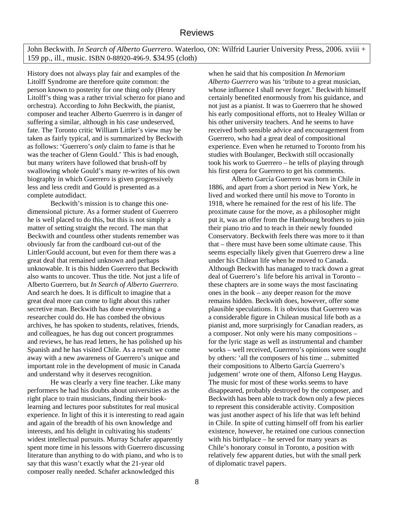John Beckwith. *In Search of Alberto Guerrero*. Waterloo, ON: Wilfrid Laurier University Press, 2006. xviii + 159 pp., ill., music. ISBN 0-88920-496-9. \$34.95 (cloth)

History does not always play fair and examples of the Litolff Syndrome are therefore quite common: the person known to posterity for one thing only (Henry Litolff's thing was a rather trivial scherzo for piano and orchestra). According to John Beckwith, the pianist, composer and teacher Alberto Guerrero is in danger of suffering a similar, although in his case undeserved, fate. The Toronto critic William Littler's view may be taken as fairly typical, and is summarized by Beckwith as follows: 'Guerrero's *only* claim to fame is that he was the teacher of Glenn Gould.' This is bad enough, but many writers have followed that brush-off by swallowing whole Gould's many re-writes of his own biography in which Guerrero is given progressively less and less credit and Gould is presented as a complete autodidact.

Beckwith's mission is to change this onedimensional picture. As a former student of Guerrero he is well placed to do this, but this is not simply a matter of setting straight the record. The man that Beckwith and countless other students remember was obviously far from the cardboard cut-out of the Littler/Gould account, but even for them there was a great deal that remained unknown and perhaps unknowable. It is this hidden Guerrero that Beckwith also wants to uncover. Thus the title. Not just a life of Alberto Guerrero, but *In Search of Alberto Guerrero*. And search he does. It is difficult to imagine that a great deal more can come to light about this rather secretive man. Beckwith has done everything a researcher could do. He has combed the obvious archives, he has spoken to students, relatives, friends, and colleagues, he has dug out concert programmes and reviews, he has read letters, he has polished up his Spanish and he has visited Chile. As a result we come away with a new awareness of Guerrero's unique and important role in the development of music in Canada and understand why it deserves recognition.

He was clearly a very fine teacher. Like many performers he had his doubts about universities as the right place to train musicians, finding their booklearning and lectures poor substitutes for real musical experience. In light of this it is interesting to read again and again of the breadth of his own knowledge and interests, and his delight in cultivating his students' widest intellectual pursuits. Murray Schafer apparently spent more time in his lessons with Guerrero discussing literature than anything to do with piano, and who is to say that this wasn't exactly what the 21-year old composer really needed. Schafer acknowledged this

when he said that his composition *In Memoriam Alberto Guerrero* was his 'tribute to a great musician, whose influence I shall never forget.' Beckwith himself certainly benefited enormously from his guidance, and not just as a pianist. It was to Guerrero that he showed his early compositional efforts, not to Healey Willan or his other university teachers. And he seems to have received both sensible advice and encouragement from Guerrero, who had a great deal of compositional experience. Even when he returned to Toronto from his studies with Boulanger, Beckwith still occasionally took his work to Guerrero – he tells of playing through his first opera for Guerrero to get his comments.

 Alberto García Guerrero was born in Chile in 1886, and apart from a short period in New York, he lived and worked there until his move to Toronto in 1918, where he remained for the rest of his life. The proximate cause for the move, as a philosopher might put it, was an offer from the Hambourg brothers to join their piano trio and to teach in their newly founded Conservatory. Beckwith feels there was more to it than that – there must have been some ultimate cause. This seems especially likely given that Guerrero drew a line under his Chilean life when he moved to Canada. Although Beckwith has managed to track down a great deal of Guerrero's life before his arrival in Toronto – these chapters are in some ways the most fascinating ones in the book – any deeper reason for the move remains hidden. Beckwith does, however, offer some plausible speculations. It is obvious that Guerrero was a considerable figure in Chilean musical life both as a pianist and, more surprisingly for Canadian readers, as a composer. Not only were his many compositions – for the lyric stage as well as instrumental and chamber works – well received, Guerrero's opinions were sought by others: 'all the composers of his time ... submitted their compositions to Alberto García Guerrero's judgement' wrote one of them, Alfonso Leng Haygus. The music for most of these works seems to have disappeared, probably destroyed by the composer, and Beckwith has been able to track down only a few pieces to represent this considerable activity. Composition was just another aspect of his life that was left behind in Chile. In spite of cutting himself off from his earlier existence, however, he retained one curious connection with his birthplace – he served for many years as Chile's honorary consul in Toronto, a position with relatively few apparent duties, but with the small perk of diplomatic travel papers.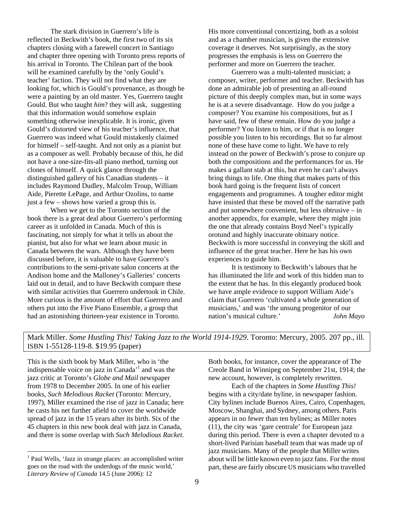The stark division in Guerrero's life is reflected in Beckwith's book, the first two of its six chapters closing with a farewell concert in Santiago and chapter three opening with Toronto press reports of his arrival in Toronto. The Chilean part of the book will be examined carefully by the 'only Gould's teacher' faction. They will not find what they are looking for, which is Gould's provenance, as though he were a painting by an old master. Yes, Guerrero taught Gould. But who taught *him*? they will ask, suggesting that this information would somehow explain something otherwise inexplicable. It is ironic, given Gould's distorted view of his teacher's influence, that Guerrero was indeed what Gould mistakenly claimed for himself – self-taught. And not only as a pianist but as a composer as well. Probably because of this, he did not have a one-size-fits-all piano method, turning out clones of himself. A quick glance through the distinguished gallery of his Canadian students – it includes Raymond Dudley, Malcolm Troup, William Aide, Pierette LePage, and Arthur Ozolins, to name just a few – shows how varied a group this is.

 When we get to the Toronto section of the book there is a great deal about Guerrero's performing career as it unfolded in Canada. Much of this is fascinating, not simply for what it tells us about the pianist, but also for what we learn about music in Canada between the wars. Although they have been discussed before, it is valuable to have Guerrero's contributions to the semi-private salon concerts at the Andison home and the Malloney's Galleries' concerts laid out in detail, and to have Beckwith compare these with similar activities that Guerrero undertook in Chile. More curious is the amount of effort that Guerrero and others put into the Five Piano Ensemble, a group that had an astonishing thirteen-year existence in Toronto.

His more conventional concertizing, both as a soloist and as a chamber musician, is given the extensive coverage it deserves. Not surprisingly, as the story progresses the emphasis is less on Guerrero the performer and more on Guerrero the teacher.

 Guerrero was a multi-talented musician; a composer, writer, performer and teacher. Beckwith has done an admirable job of presenting an all-round picture of this deeply complex man, but in some ways he is at a severe disadvantage. How do you judge a composer? You examine his compositions, but as I have said, few of these remain. How do you judge a performer? You listen to him, or if that is no longer possible you listen to his recordings. But so far almost none of these have come to light. We have to rely instead on the power of Beckwith's prose to conjure up both the compositions and the performances for us. He makes a gallant stab at this, but even he can't always bring things to life. One thing that makes parts of this book hard going is the frequent lists of concert engagements and programmes. A tougher editor might have insisted that these be moved off the narrative path and put somewhere convenient, but less obtrusive – in another appendix, for example, where they might join the one that already contains Boyd Neel's typically orotund and highly inaccurate obituary notice. Beckwith is more successful in conveying the skill and influence of the great teacher. Here he has his own experiences to guide him.

It is testimony to Beckwith's labours that he has illuminated the life and work of this hidden man to the extent that he has. In this elegantly produced book we have ample evidence to support William Aide's claim that Guerrero 'cultivated a whole generation of musicians,' and was 'the unsung progenitor of our nation's musical culture.' *John Mayo*

Mark Miller. *Some Hustling This! Taking Jazz to the World 1914-1929*. Toronto: Mercury, 2005. 207 pp., ill. ISBN 1-55128-119-8. \$19.95 (paper)

This is the sixth book by Mark Miller, who is 'the indispensable voice on jazz in Canada<sup> $1$ </sup> and was the jazz critic at Toronto's *Globe and Mail* newspaper from 1978 to December 2005. In one of his earlier books, *Such Melodious Racket* (Toronto: Mercury, 1997), Miller examined the rise of jazz in Canada; here he casts his net further afield to cover the worldwide spread of jazz in the 15 years after its birth. Six of the 45 chapters in this new book deal with jazz in Canada, and there is some overlap with *Such Melodious Racket*.

 $\overline{a}$ 

Both books, for instance, cover the appearance of The Creole Band in Winnipeg on September 21st, 1914; the new account, however, is completely rewritten.

Each of the chapters in *Some Hustling This!* begins with a city/date byline, in newspaper fashion. City bylines include Buenos Aires, Cairo, Copenhagen, Moscow, Shanghai, and Sydney, among others. Paris appears in no fewer than ten bylines; as Miller notes (11), the city was 'gare centrale' for European jazz during this period. There is even a chapter devoted to a short-lived Parisian baseball team that was made up of jazz musicians. Many of the people that Miller writes about will be little known even to jazz fans. For the most part, these are fairly obscure US musicians who travelled

<sup>&</sup>lt;sup>1</sup> Paul Wells, 'Jazz in strange places: an accomplished writer goes on the road with the underdogs of the music world,' *Literary Review of Canada* 14.5 (June 2006): 12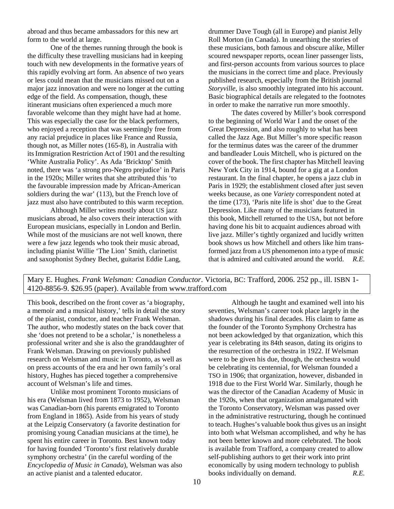abroad and thus became ambassadors for this new art form to the world at large.

One of the themes running through the book is the difficulty these travelling musicians had in keeping touch with new developments in the formative years of this rapidly evolving art form. An absence of two years or less could mean that the musicians missed out on a major jazz innovation and were no longer at the cutting edge of the field. As compensation, though, these itinerant musicians often experienced a much more favorable welcome than they might have had at home. This was especially the case for the black performers, who enjoyed a reception that was seemingly free from any racial prejudice in places like France and Russia, though not, as Miller notes (165-8), in Australia with itsImmigration Restriction Act of 1901 and the resulting 'White Australia Policy'. As Ada 'Bricktop' Smith noted, there was 'a strong pro-Negro prejudice' in Paris in the 1920s; Miller writes that she attributed this 'to the favourable impression made by African-American soldiers during the war' (113), but the French love of jazz must also have contributed to this warm reception.

 Although Miller writes mostly about US jazz musicians abroad, he also covers their interaction with European musicians, especially in London and Berlin. While most of the musicians are not well known, there were a few jazz legends who took their music abroad, including pianist Willie 'The Lion' Smith, clarinetist and saxophonist Sydney Bechet, guitarist Eddie Lang,

drummer Dave Tough (all in Europe) and pianist Jelly Roll Morton (in Canada). In unearthing the stories of these musicians, both famous and obscure alike, Miller scoured newspaper reports, ocean liner passenger lists, and first-person accounts from various sources to place the musicians in the correct time and place. Previously published research, especially from the British journal *Storyville*, is also smoothly integrated into his account. Basic biographical details are relegated to the footnotes in order to make the narrative run more smoothly.

 The dates covered by Miller's book correspond to the beginning of World War I and the onset of the Great Depression, and also roughly to what has been called the Jazz Age. But Miller's more specific reason for the terminus dates was the career of the drummer and bandleader Louis Mitchell, who is pictured on the cover of the book. The first chapter has Mitchell leaving New York City in 1914, bound for a gig at a London restaurant. In the final chapter, he opens a jazz club in Paris in 1929; the establishment closed after just seven weeks because, as one *Variety* correspondent noted at the time (173), 'Paris nite life is shot' due to the Great Depression. Like many of the musicians featured in this book, Mitchell returned to the USA, but not before having done his bit to acquaint audiences abroad with live jazz. Miller's tightly organized and lucidly written book shows us how Mitchell and others like him transformed jazz from a US phenomenon into a type of music that is admired and cultivated around the world. *R.E.* 

Mary E. Hughes. *Frank Welsman: Canadian Conductor*. Victoria, BC: Trafford, 2006. 252 pp., ill. ISBN 1- 4120-8856-9. \$26.95 (paper). Available from www.trafford.com

This book, described on the front cover as 'a biography, a memoir and a musical history,' tells in detail the story of the pianist, conductor, and teacher Frank Welsman. The author, who modestly states on the back cover that she 'does not pretend to be a scholar,' is nonetheless a professional writer and she is also the granddaughter of Frank Welsman. Drawing on previously published research on Welsman and music in Toronto, as well as on press accounts of the era and her own family's oral history, Hughes has pieced together a comprehensive account of Welsman's life and times.

Unlike most prominent Toronto musicians of his era (Welsman lived from 1873 to 1952), Welsman was Canadian-born (his parents emigrated to Toronto from England in 1865). Aside from his years of study at the Leipzig Conservatory (a favorite destination for promising young Canadian musicians at the time), he spent his entire career in Toronto. Best known today for having founded 'Toronto's first relatively durable symphony orchestra' (in the careful wording of the *Encyclopedia of Music in Canada*), Welsman was also an active pianist and a talented educator.

Although he taught and examined well into his seventies, Welsman's career took place largely in the shadows during his final decades. His claim to fame as the founder of the Toronto Symphony Orchestra has not been ackowledged by that organization, which this year is celebrating its 84th season, dating its origins to the resurrection of the orchestra in 1922. If Welsman were to be given his due, though, the orchestra would be celebrating its centennial, for Welsman founded a TSO in 1906; that organization, however, disbanded in 1918 due to the First World War. Similarly, though he was the director of the Canadian Academy of Music in the 1920s, when that organization amalgamated with the Toronto Conservatory, Welsman was passed over in the administrative restructuring, though he continued to teach. Hughes's valuable book thus gives us an insight into both what Welsman accomplished, and why he has not been better known and more celebrated. The book is available from Trafford, a company created to allow self-publishing authors to get their work into print economically by using modern technology to publish books individually on demand. *R.E.*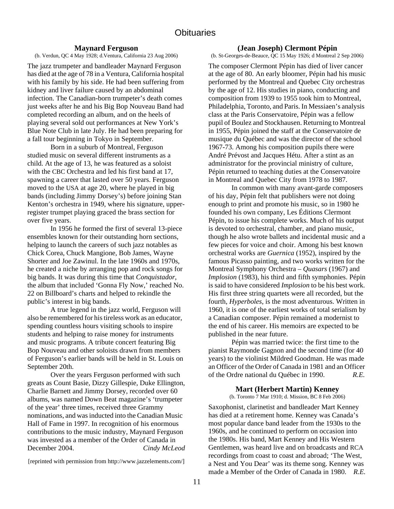# **Maynard Ferguson**

(b. Verdun, QC 4 May 1928; d.Ventura, California 23 Aug 2006)

The jazz trumpeter and bandleader Maynard Ferguson has died at the age of 78 in a Ventura, California hospital with his family by his side. He had been suffering from kidney and liver failure caused by an abdominal infection. The Canadian-born trumpeter's death comes just weeks after he and his Big Bop Nouveau Band had completed recording an album, and on the heels of playing several sold out performances at New York's Blue Note Club in late July. He had been preparing for a fall tour beginning in Tokyo in September.

Born in a suburb of Montreal, Ferguson studied music on several different instruments as a child. At the age of 13, he was featured as a soloist with the CBC Orchestra and led his first band at 17, spawning a career that lasted over 50 years. Ferguson moved to the USA at age 20, where he played in big bands (including Jimmy Dorsey's) before joining Stan Kenton's orchestra in 1949, where his signature, upperregister trumpet playing graced the brass section for over five years.

In 1956 he formed the first of several 13-piece ensembles known for their outstanding horn sections, helping to launch the careers of such jazz notables as Chick Corea, Chuck Mangione, Bob James, Wayne Shorter and Joe Zawinul. In the late 1960s and 1970s, he created a niche by arranging pop and rock songs for big bands. It was during this time that *Conquistador*, the album that included 'Gonna Fly Now,' reached No. 22 on Billboard's charts and helped to rekindle the public's interest in big bands.

A true legend in the jazz world, Ferguson will also be remembered for his tireless work as an educator, spending countless hours visiting schools to inspire students and helping to raise money for instruments and music programs. A tribute concert featuring Big Bop Nouveau and other soloists drawn from members of Ferguson's earlier bands will be held in St. Louis on September 20th.

Over the years Ferguson performed with such greats as Count Basie, Dizzy Gillespie, Duke Ellington, Charlie Barnett and Jimmy Dorsey, recorded over 60 albums, was named Down Beat magazine's 'trumpeter of the year' three times, received three Grammy nominations, and wasinducted into the Canadian Music Hall of Fame in 1997. In recognition of his enormous contributions to the music industry, Maynard Ferguson was invested as a member of the Order of Canada in December 2004. *Cindy McLeod*

[reprinted with permission from http://www.jazzelements.com/]

### **(Jean Joseph) Clermont Pépin**

(b. St-Georges-de-Beauce, QC 15 May 1926; d Montreal 2 Sep 2006)

The composer Clermont Pépin has died of liver cancer at the age of 80. An early bloomer, Pépin had his music performed by the Montreal and Quebec City orchestras by the age of 12. His studies in piano, conducting and composition from 1939 to 1955 took him to Montreal, Philadelphia, Toronto, and Paris. In Messiaen's analysis class at the Paris Conservatoire, Pépin was a fellow pupil of Boulez and Stockhausen. Returning to Montreal in 1955, Pépin joined the staff at the Conservatoire de musique du Québec and was the director of the school 1967-73. Among his composition pupils there were André Prévost and Jacques Hétu. After a stint as an administrator for the provincial ministry of culture, Pépin returned to teaching duties at the Conservatoire in Montreal and Quebec City from 1978 to 1987.

 In common with many avant-garde composers of his day, Pépin felt that publishers were not doing enough to print and promote his music, so in 1980 he founded his own company, Les Éditions Clermont Pépin, to issue his complete works. Much of his output is devoted to orchestral, chamber, and piano music, though he also wrote ballets and incidental music and a few pieces for voice and choir. Among his best known orchestral works are *Guernica* (1952), inspired by the famous Picasso painting, and two works written for the Montreal Symphony Orchestra – *Quasars* (1967) and *Implosion* (1983), his third and fifth symphonies. Pépin is said to have considered *Implosion* to be his best work. His first three string quartets were all recorded, but the fourth, *Hyperboles*, is the most adventurous. Written in 1960, it is one of the earliest works of total serialism by a Canadian composer. Pépin remained a modernist to the end of his career. His memoirs are expected to be published in the near future.

 Pépin was married twice: the first time to the pianist Raymonde Gagnon and the second time (for 40 years) to the violinist Mildred Goodman. He was made an Officer of the Order of Canada in 1981 and an Officer of the Ordre national du Québec in 1990. *R.E.*

# **Mart (Herbert Martin) Kenney**

(b. Toronto 7 Mar 1910; d. Mission, BC 8 Feb 2006)

Saxophonist, clarinetist and bandleader Mart Kenney has died at a retirement home. Kenney was Canada's most popular dance band leader from the 1930s to the 1960s, and he continued to perform on occasion into the 1980s. His band, Mart Kenney and His Western Gentlemen, was heard live and on broadcasts and RCA recordings from coast to coast and abroad; 'The West, a Nest and You Dear' was its theme song. Kenney was made a Member of the Order of Canada in 1980. *R.E.*